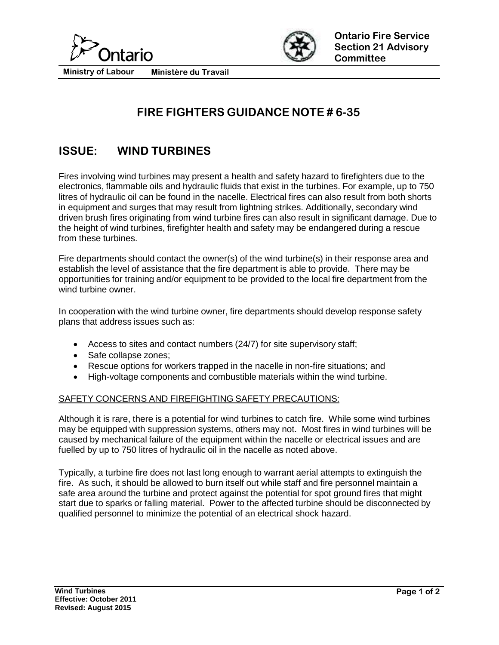



**Ministry of Labour Ministère du Travail**

## **FIRE FIGHTERS GUIDANCE NOTE # 6-35**

## **ISSUE: WIND TURBINES**

Fires involving wind turbines may present a health and safety hazard to firefighters due to the electronics, flammable oils and hydraulic fluids that exist in the turbines. For example, up to 750 litres of hydraulic oil can be found in the nacelle. Electrical fires can also result from both shorts in equipment and surges that may result from lightning strikes. Additionally, secondary wind driven brush fires originating from wind turbine fires can also result in significant damage. Due to the height of wind turbines, firefighter health and safety may be endangered during a rescue from these turbines.

Fire departments should contact the owner(s) of the wind turbine(s) in their response area and establish the level of assistance that the fire department is able to provide. There may be opportunities for training and/or equipment to be provided to the local fire department from the wind turbine owner.

In cooperation with the wind turbine owner, fire departments should develop response safety plans that address issues such as:

- Access to sites and contact numbers (24/7) for site supervisory staff;
- Safe collapse zones;
- Rescue options for workers trapped in the nacelle in non-fire situations; and
- High-voltage components and combustible materials within the wind turbine.

## SAFETY CONCERNS AND FIREFIGHTING SAFETY PRECAUTIONS:

Although it is rare, there is a potential for wind turbines to catch fire. While some wind turbines may be equipped with suppression systems, others may not. Most fires in wind turbines will be caused by mechanical failure of the equipment within the nacelle or electrical issues and are fuelled by up to 750 litres of hydraulic oil in the nacelle as noted above.

Typically, a turbine fire does not last long enough to warrant aerial attempts to extinguish the fire. As such, it should be allowed to burn itself out while staff and fire personnel maintain a safe area around the turbine and protect against the potential for spot ground fires that might start due to sparks or falling material. Power to the affected turbine should be disconnected by qualified personnel to minimize the potential of an electrical shock hazard.